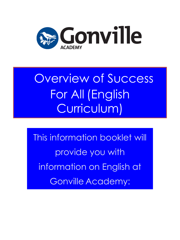

# Overview of Success For All (English Curriculum)

This information booklet will provide you with information on English at Gonville Academy: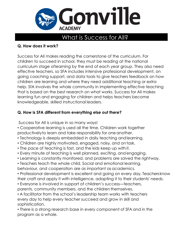

## What is Success for All?

## **Q. How does it work?**

Success for All makes reading the cornerstone of the curriculum. For children to succeed in school, they must be reading at the national curriculum stage oflearning by the end of each year group. They also need effective teachers, so SFA includes intensive professional development, on going coaching support, and data tools to give teachers feedback on how children are learning and where they need additional teaching or extra help. SfA involves the whole community in implementing effective teaching that is based on the best research on what works. Success for All makes learning fun and engaging for children and helps teachers become knowledgeable, skilled instructional leaders.

## **Q. How is SFA different from everything else out there?**

Success for All is unique in so many ways!

• Cooperative learning is used all the time. Children work together productivelyto learn and take responsibility for one another.

- Technology is deeply embedded in daily teaching andlearning.
- Children are highly motivated, engaged, noisy, and on task.
- The pace of teaching is fast, and the kids keep up withit.
- Every minute of teaching is well planned, exciting, andengaging.
- Learning is constantly monitored, and problems are solved the rightway.
- Teachers teach the whole child. Social and emotional learning, behaviour, and cooperation are as important as academics.

• Professional development is excellent and going on every day. Teachersknow their craft and apply it with intelligence, adapting it to their students' needs.

- Everyone is involved in support of children's success—teachers,
- parents, community members, and the children themselves.

• A facilitator from the school's leadership team works with teachers every day to help every teacher succeed and grow in skill and sophistication.

• There is a strong research base in every component of SFA and in the program as a whole.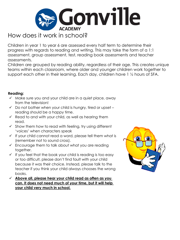

# How does it work in school?

Children in year 1 to year 6 are assessed every half term to determine their progress with regards to reading and writing. This may take the form of a 1:1 assessment, group assessment, test, reading book assessments and teacher assessments.

Children are grouped by reading ability, regardless of their age. This creates unique teams within each classroom, where older and younger children work together to support each other in their learning. Each day, children have 1 ½ hours of SFA.

### **Reading:**

- $\checkmark$  Make sure you and your child are in a quiet place, away from the television!
- $\checkmark$  Do not bother when your child is hungry, tired or upset reading should be a happy time.
- $\checkmark$  Read to and with your child, as well as hearing them read.
- $\checkmark$  Show them how to read with feeling, try using different 'voices' when characters speak
- $\checkmark$  If your child cannot read a word, please tell them what is (remember not to sound cross).
- $\checkmark$  Encourage them to talk about what you are reading together.
- $\checkmark$  If you feel that the book your child is reading is too easy or too difficult, please don't find fault with your child because it was their choice. Instead, please talk to the teacher if you think your child always chooses the wrong books.
- **Above all, please hear your child read as often as you can. It does not need much of your time, but it will help your child very much in school.**